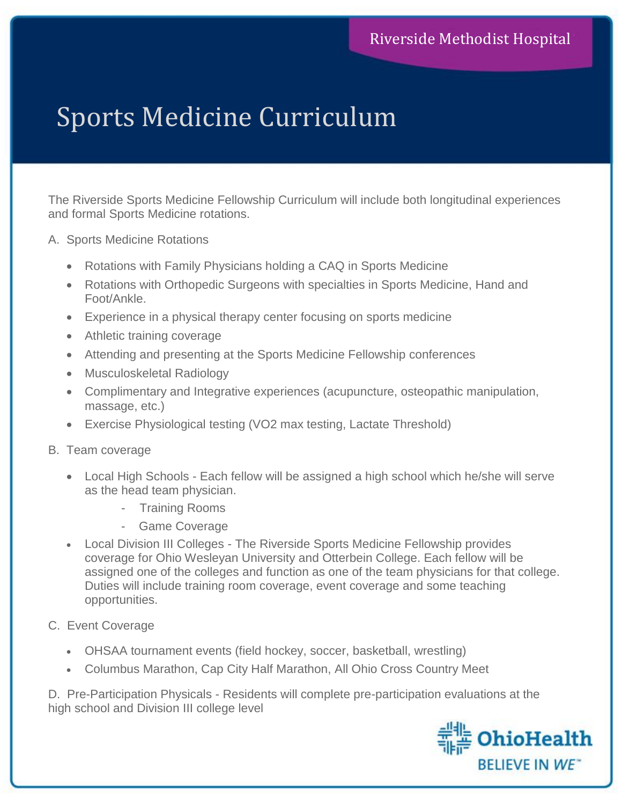## Sports Medicine Curriculum

The Riverside Sports Medicine Fellowship Curriculum will include both longitudinal experiences and formal Sports Medicine rotations.

- A. Sports Medicine Rotations
	- Rotations with Family Physicians holding a CAQ in Sports Medicine
	- Rotations with Orthopedic Surgeons with specialties in Sports Medicine, Hand and Foot/Ankle.
	- Experience in a physical therapy center focusing on sports medicine
	- Athletic training coverage
	- Attending and presenting at the Sports Medicine Fellowship conferences
	- Musculoskeletal Radiology
	- Complimentary and Integrative experiences (acupuncture, osteopathic manipulation, massage, etc.)
	- Exercise Physiological testing (VO2 max testing, Lactate Threshold)
- B. Team coverage
	- Local High Schools Each fellow will be assigned a high school which he/she will serve as the head team physician.
		- Training Rooms
		- Game Coverage
	- Local Division III Colleges The Riverside Sports Medicine Fellowship provides coverage for Ohio Wesleyan University and Otterbein College. Each fellow will be assigned one of the colleges and function as one of the team physicians for that college. Duties will include training room coverage, event coverage and some teaching opportunities.
- C. Event Coverage
	- OHSAA tournament events (field hockey, soccer, basketball, wrestling)
	- Columbus Marathon, Cap City Half Marathon, All Ohio Cross Country Meet

D. Pre-Participation Physicals - Residents will complete pre-participation evaluations at the high school and Division III college level